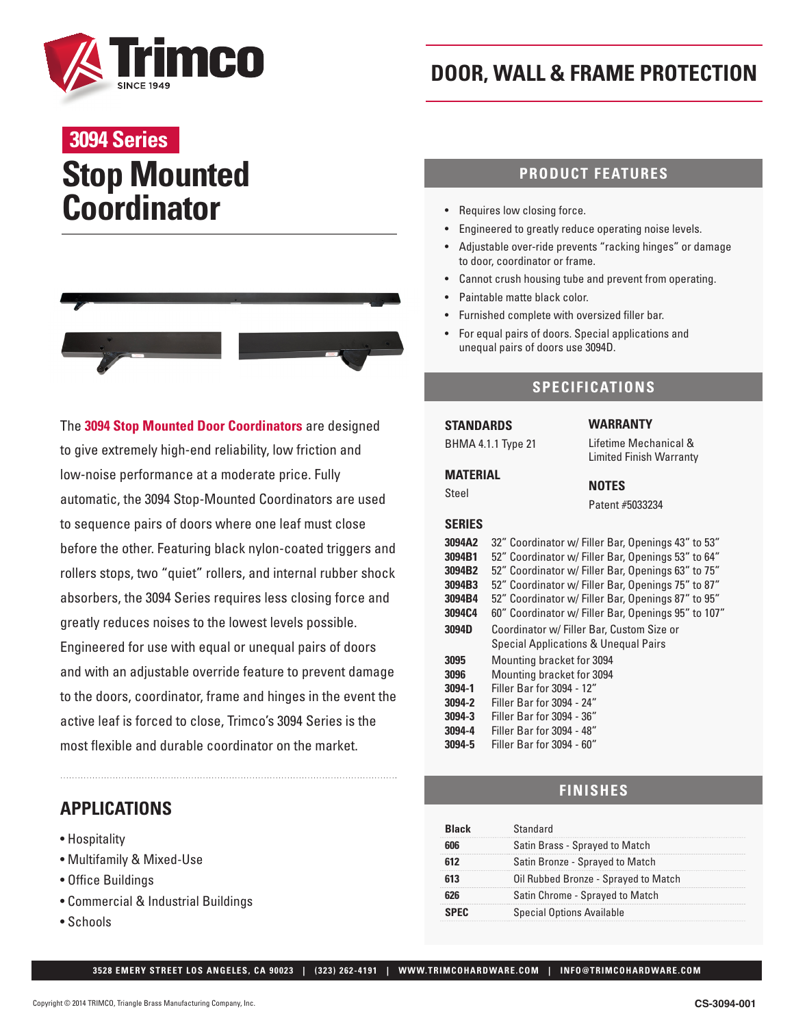

# **Stop Mounted Coordinator 3094 Series**



The **3094 Stop Mounted Door Coordinators** are designed to give extremely high-end reliability, low friction and low-noise performance at a moderate price. Fully automatic, the 3094 Stop-Mounted Coordinators are used to sequence pairs of doors where one leaf must close before the other. Featuring black nylon-coated triggers and rollers stops, two "quiet" rollers, and internal rubber shock absorbers, the 3094 Series requires less closing force and greatly reduces noises to the lowest levels possible. Engineered for use with equal or unequal pairs of doors and with an adjustable override feature to prevent damage to the doors, coordinator, frame and hinges in the event the active leaf is forced to close, Trimco's 3094 Series is the most flexible and durable coordinator on the market.

## **APPLICATIONS**

- Hospitality
- Multifamily & Mixed-Use
- Office Buildings
- Commercial & Industrial Buildings
- Schools

# **DOOR, WALL & FRAME PROTECTION**

### **PRODUCT FEATURES**

- Requires low closing force.
- Engineered to greatly reduce operating noise levels.
- Adjustable over-ride prevents "racking hinges" or damage to door, coordinator or frame.
- Cannot crush housing tube and prevent from operating.
- Paintable matte black color.
- Furnished complete with oversized filler bar.
- For equal pairs of doors. Special applications and unequal pairs of doors use 3094D.

### **SPECIFICATIONS**

#### **STANDARDS** BHMA 4.1.1 Type 21

## **MATERIAL**

#### Steel

#### **NOTES** Patent #5033234

**WARRANTY**

Lifetime Mechanical & Limited Finish Warranty

#### **SERIES**

| 3094A2 | 32" Coordinator w/ Filler Bar, Openings 43" to 53"                                |  |  |  |
|--------|-----------------------------------------------------------------------------------|--|--|--|
| 3094B1 | 52" Coordinator w/ Filler Bar, Openings 53" to 64"                                |  |  |  |
| 3094B2 | 52" Coordinator w/ Filler Bar, Openings 63" to 75"                                |  |  |  |
| 3094B3 | 52" Coordinator w/ Filler Bar, Openings 75" to 87"                                |  |  |  |
| 3094B4 | 52" Coordinator w/ Filler Bar, Openings 87" to 95"                                |  |  |  |
| 3094C4 | 60" Coordinator w/ Filler Bar, Openings 95" to 107"                               |  |  |  |
| 3094D  | Coordinator w/ Filler Bar. Custom Size or<br>Special Applications & Unequal Pairs |  |  |  |
| 3095   | Mounting bracket for 3094                                                         |  |  |  |
| 3096   | Mounting bracket for 3094                                                         |  |  |  |
| 3094-1 | Filler Bar for 3094 - 12"                                                         |  |  |  |
| 3094-2 | Filler Bar for 3094 - 24"                                                         |  |  |  |
| 3094-3 | Filler Bar for 3094 - 36"                                                         |  |  |  |
| 3094-4 | Filler Bar for 3094 - 48"                                                         |  |  |  |
| 3094-5 | Filler Bar for 3094 - 60"                                                         |  |  |  |

### **FINISHES**

| Rlack | Standard                             |  |
|-------|--------------------------------------|--|
|       | Satin Brass - Sprayed to Match       |  |
|       | Satin Bronze - Sprayed to Match      |  |
|       | Oil Rubbed Bronze - Sprayed to Match |  |
|       | Satin Chrome - Sprayed to Match      |  |
|       | <b>Special Options Available</b>     |  |

 **3528 EMERY STREET LOS ANGELES, CA 90023 | (323) 262-4191 | WWW.TRIMCOHARDWARE.COM | INFO@TRIMCOHARDWARE.COM**